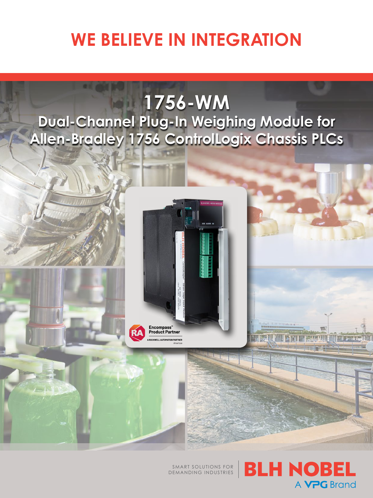# **WE BELIEVE IN INTEGRATION**

## **1756-WM Dual-Channel Plug-In Weighing Module for Allen-Bradley 1756 ControlLogix Chassis PLCs**



SMART SOLUTIONS FOR DEMANDING INDUSTRIES